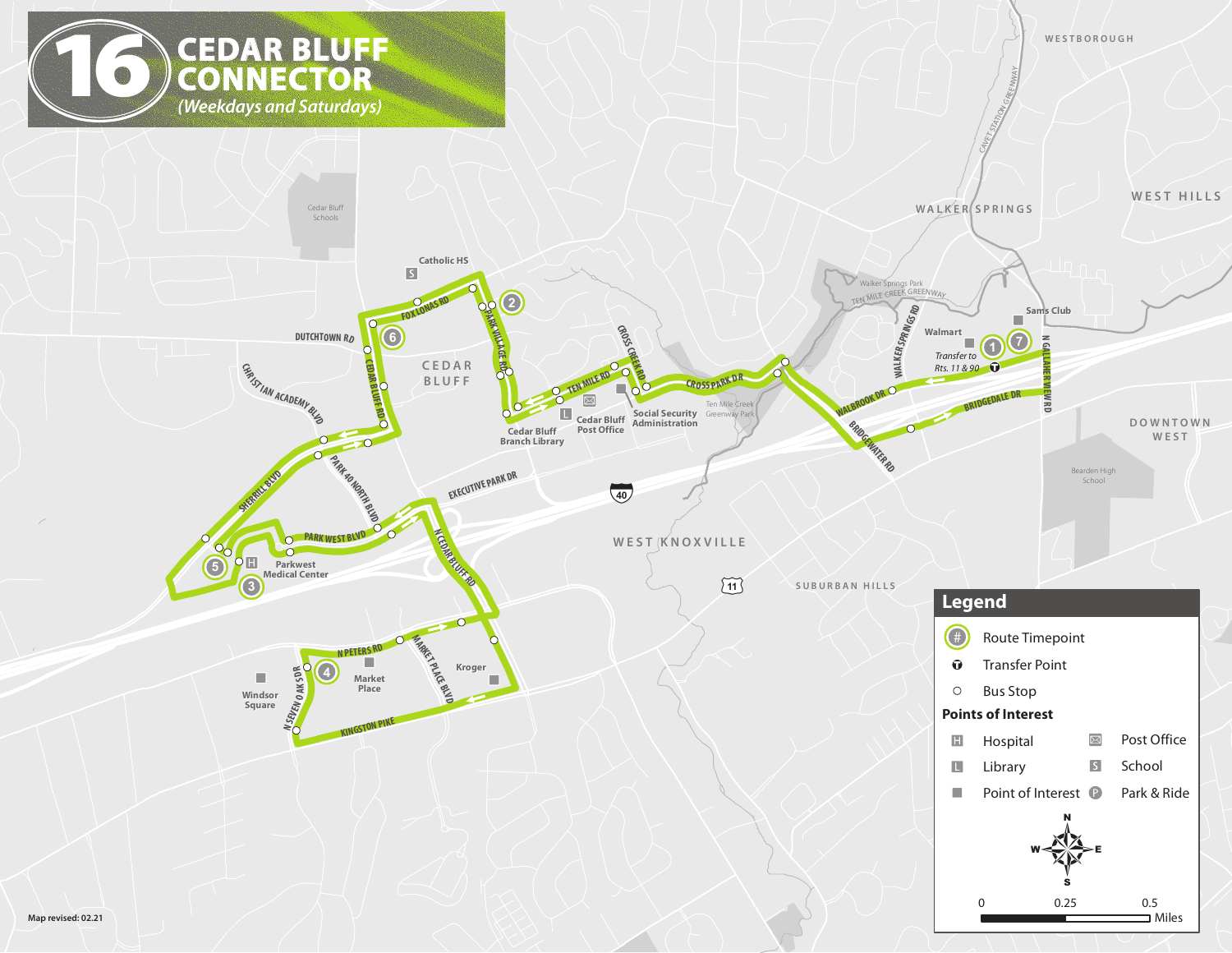